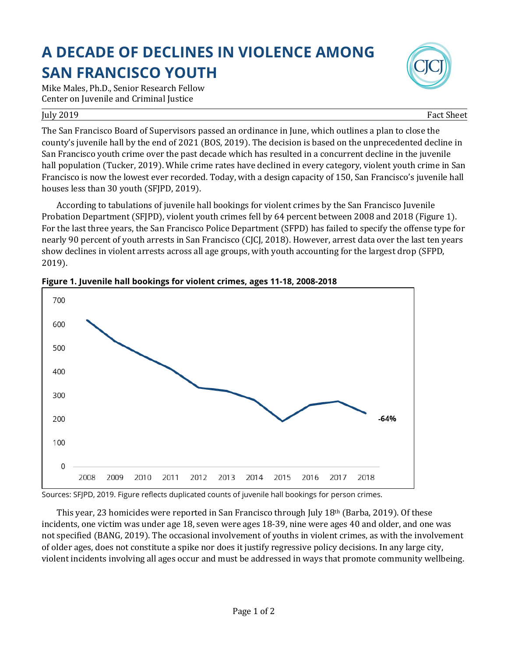## **A DECADE OF DECLINES IN VIOLENCE AMONG SAN FRANCISCO YOUTH**

Mike Males, Ph.D., Senior Research Fellow Center on Juvenile and Criminal Justice

## July 2019 Fact Sheet

The San Francisco Board of Supervisors passed an ordinance in June, which outlines a plan to close the county's juvenile hall by the end of 2021 (BOS, 2019). The decision is based on the unprecedented decline in San Francisco youth crime over the past decade which has resulted in a concurrent decline in the juvenile hall population (Tucker, 2019). While crime rates have declined in every category, violent youth crime in San Francisco is now the lowest ever recorded. Today, with a design capacity of 150, San Francisco's juvenile hall houses less than 30 youth (SFJPD, 2019).

According to tabulations of juvenile hall bookings for violent crimes by the San Francisco Juvenile Probation Department (SFJPD), violent youth crimes fell by 64 percent between 2008 and 2018 (Figure 1). For the last three years, the San Francisco Police Department (SFPD) has failed to specify the offense type for nearly 90 percent of youth arrests in San Francisco (CJCJ, 2018). However, arrest data over the last ten years show declines in violent arrests across all age groups, with youth accounting for the largest drop (SFPD, 2019).



**Figure 1. Juvenile hall bookings for violent crimes, ages 11-18, 2008-2018**

Sources: SFJPD, 2019. Figure reflects duplicated counts of juvenile hall bookings for person crimes.

This year, 23 homicides were reported in San Francisco through July 18th (Barba, 2019). Of these incidents, one victim was under age 18, seven were ages 18-39, nine were ages 40 and older, and one was not specified (BANG, 2019). The occasional involvement of youths in violent crimes, as with the involvement of older ages, does not constitute a spike nor does it justify regressive policy decisions. In any large city, violent incidents involving all ages occur and must be addressed in ways that promote community wellbeing.